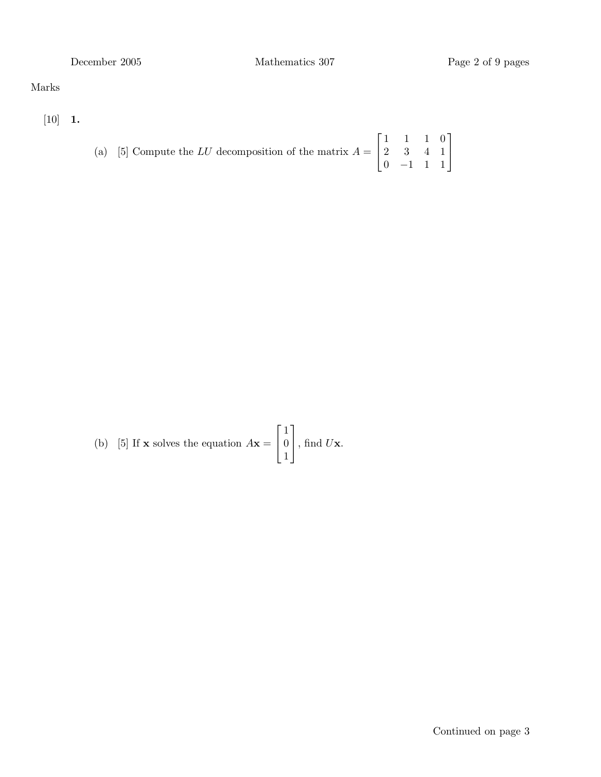## Marks

 $[10]$  1.

(a) [5] Compute the LU decomposition of the matrix 
$$
A = \begin{bmatrix} 1 & 1 & 1 & 0 \\ 2 & 3 & 4 & 1 \\ 0 & -1 & 1 & 1 \end{bmatrix}
$$

(b) [5] If **x** solves the equation  $A$ **x** =  $\sqrt{ }$  $\overline{1}$ 1 0 1 1  $\Big\vert$ , find  $U\mathbf{x}$ .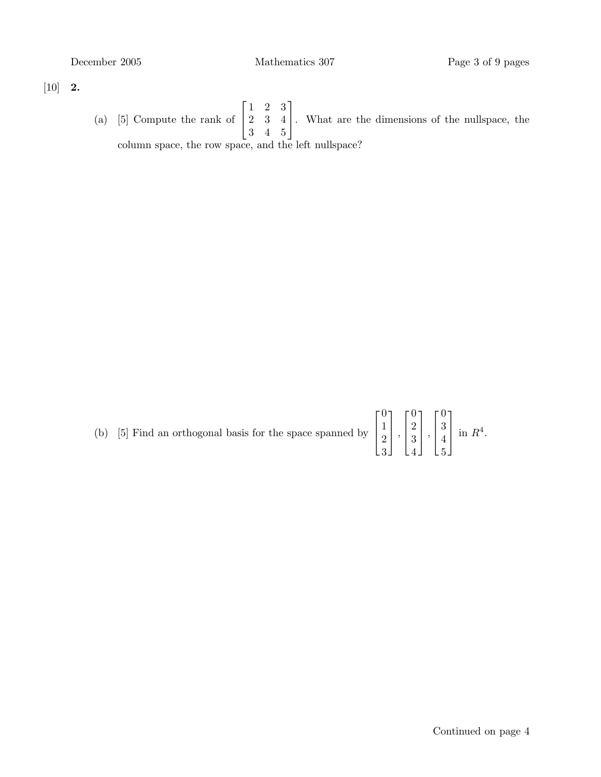$[10]$  **2.** 

(a) [5] Compute the rank of  $\lceil$  $\overline{1}$ 1 2 3 2 3 4 3 4 5 1 . What are the dimensions of the nullspace, the column space, the row space, and the left nullspace?

| (b) [5] Find an orthogonal basis for the space spanned by $\begin{bmatrix} 0 \\ 1 \\ 2 \\ 3 \end{bmatrix}$ , $\begin{bmatrix} 0 \\ 2 \\ 3 \\ 4 \end{bmatrix}$ , $\begin{bmatrix} 0 \\ 3 \\ 4 \\ 5 \end{bmatrix}$ in $R^4$ . |  |  |  |
|-----------------------------------------------------------------------------------------------------------------------------------------------------------------------------------------------------------------------------|--|--|--|
|                                                                                                                                                                                                                             |  |  |  |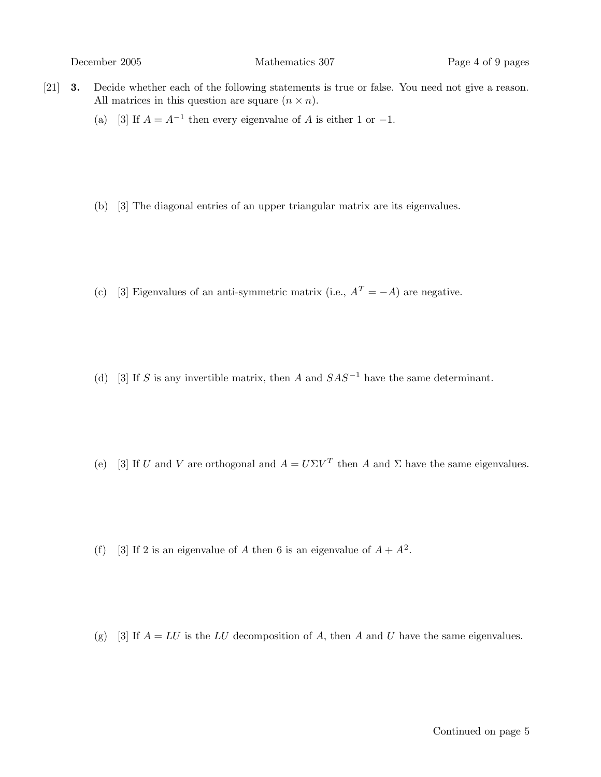December 2005 Mathematics 307 Page 4 of 9 pages

- [21] 3. Decide whether each of the following statements is true or false. You need not give a reason. All matrices in this question are square  $(n \times n)$ .
	- (a) [3] If  $A = A^{-1}$  then every eigenvalue of A is either 1 or -1.
	- (b) [3] The diagonal entries of an upper triangular matrix are its eigenvalues.
	- (c) [3] Eigenvalues of an anti-symmetric matrix (i.e.,  $A<sup>T</sup> = -A$ ) are negative.
	- (d) [3] If S is any invertible matrix, then A and  $SAS^{-1}$  have the same determinant.
	- (e) [3] If U and V are orthogonal and  $A = U\Sigma V^T$  then A and  $\Sigma$  have the same eigenvalues.
	- (f) [3] If 2 is an eigenvalue of A then 6 is an eigenvalue of  $A + A^2$ .
	- (g) [3] If  $A = LU$  is the LU decomposition of A, then A and U have the same eigenvalues.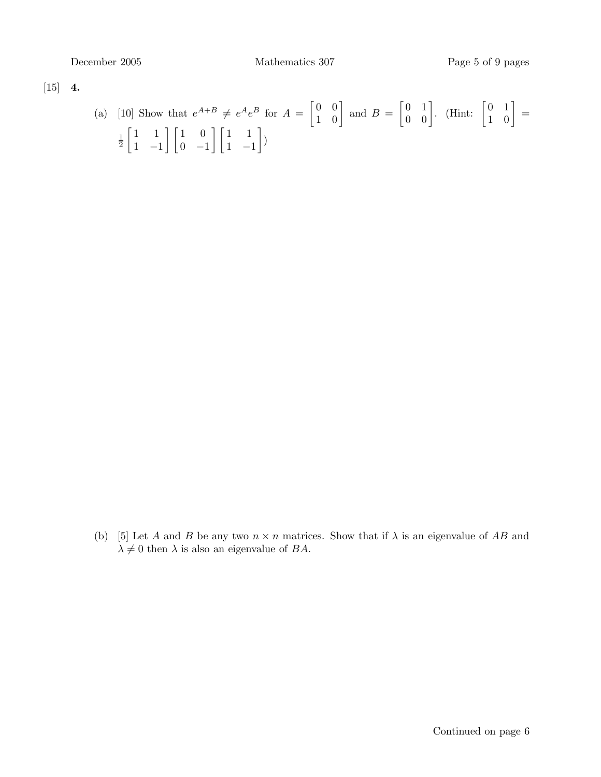[15] 4.

(a) [10] Show that 
$$
e^{A+B} \neq e^A e^B
$$
 for  $A = \begin{bmatrix} 0 & 0 \\ 1 & 0 \end{bmatrix}$  and  $B = \begin{bmatrix} 0 & 1 \\ 0 & 0 \end{bmatrix}$ . (Hint:  $\begin{bmatrix} 0 & 1 \\ 1 & 0 \end{bmatrix} = \frac{1}{2} \begin{bmatrix} 1 & 1 \\ 1 & -1 \end{bmatrix} \begin{bmatrix} 1 & 0 \\ 0 & -1 \end{bmatrix} \begin{bmatrix} 1 & 1 \\ 1 & -1 \end{bmatrix}$ )

(b) [5] Let A and B be any two  $n \times n$  matrices. Show that if  $\lambda$  is an eigenvalue of AB and  $\lambda \neq 0$  then  $\lambda$  is also an eigenvalue of BA.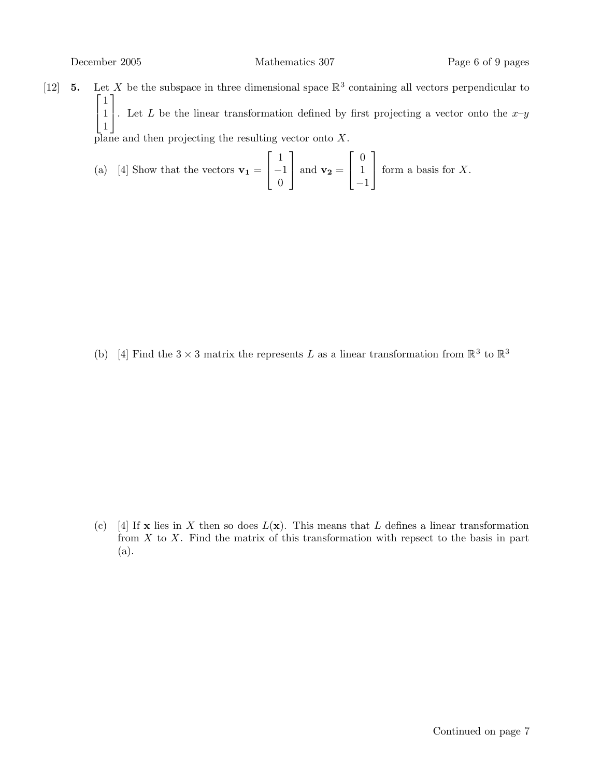[12] **5.** Let X be the subspace in three dimensional space  $\mathbb{R}^3$  containing all vectors perpendicular to  $\lceil 1 \rceil$  $\begin{pmatrix} 1 \\ 1 \end{pmatrix}$ 1 1 . Let L be the linear transformation defined by first projecting a vector onto the  $x-y$ plane and then projecting the resulting vector onto  $X$ .

(a) [4] Show that the vectors 
$$
\mathbf{v_1} = \begin{bmatrix} 1 \\ -1 \\ 0 \end{bmatrix}
$$
 and  $\mathbf{v_2} = \begin{bmatrix} 0 \\ 1 \\ -1 \end{bmatrix}$  form a basis for X.

(b) [4] Find the  $3 \times 3$  matrix the represents L as a linear transformation from  $\mathbb{R}^3$  to  $\mathbb{R}^3$ 

(c) [4] If **x** lies in X then so does  $L(\mathbf{x})$ . This means that L defines a linear transformation from  $X$  to  $X$ . Find the matrix of this transformation with repsect to the basis in part (a).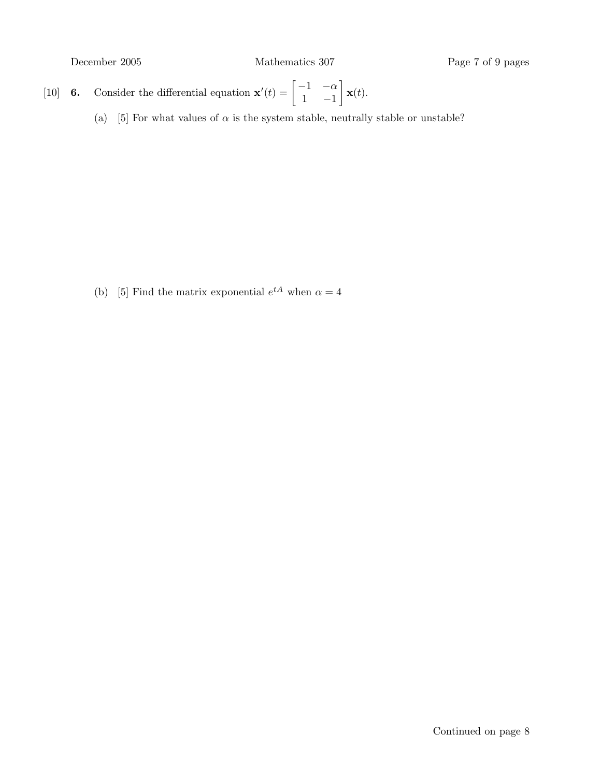- [10] **6.** Consider the differential equation  $\mathbf{x}'(t) = \begin{bmatrix} -1 & -\alpha \\ 1 & 1 \end{bmatrix}$  $1 -1$  $\mathbf{x}(t)$ .
	- (a) [5] For what values of  $\alpha$  is the system stable, neutrally stable or unstable?

(b) [5] Find the matrix exponential  $e^{tA}$  when  $\alpha = 4$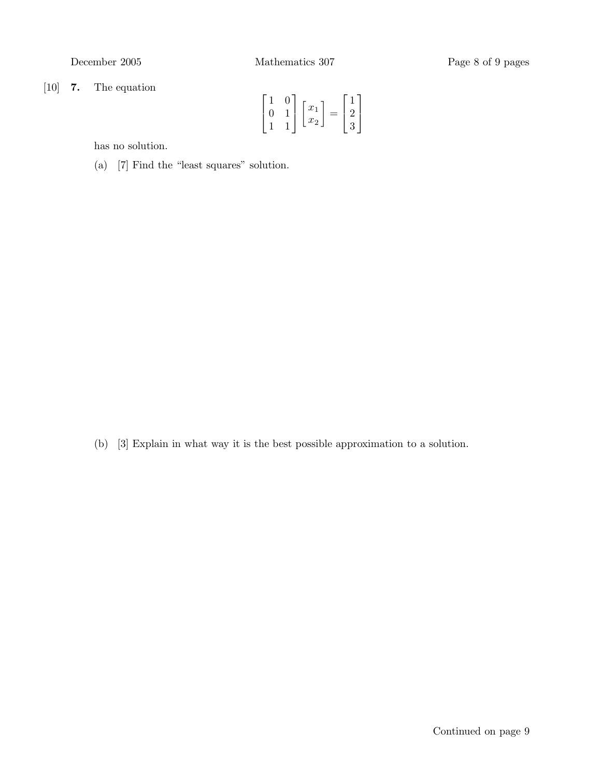[10] 7. The equation

$$
\begin{bmatrix} 1 & 0 \\ 0 & 1 \\ 1 & 1 \end{bmatrix} \begin{bmatrix} x_1 \\ x_2 \end{bmatrix} = \begin{bmatrix} 1 \\ 2 \\ 3 \end{bmatrix}
$$

has no solution.

(a) [7] Find the "least squares" solution.

(b) [3] Explain in what way it is the best possible approximation to a solution.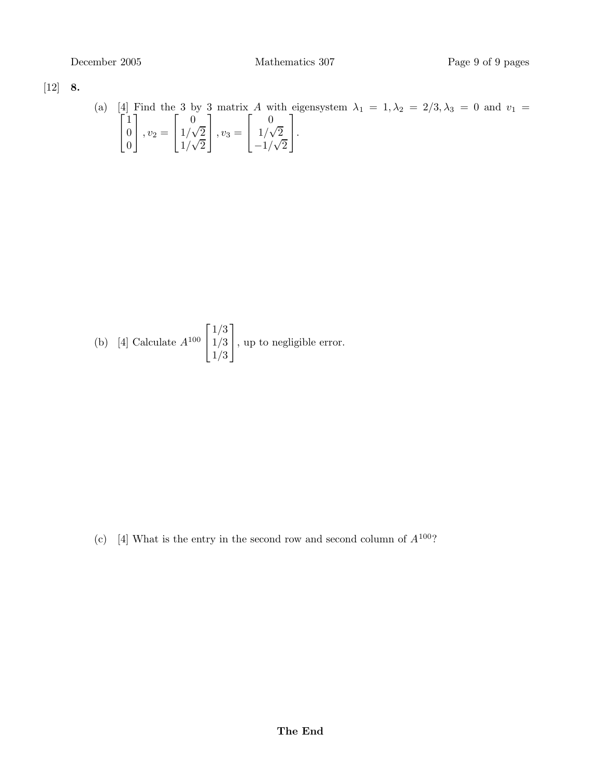$[12]$  8.

(a) [4]  $\lceil$ Find the 3 by 3 matrix A with eigensystem  $\lambda_1 = 1, \lambda_2 = 2/3, \lambda_3 = 0$  and  $v_1 =$  $\overline{1}$ 1 0 0 1  $\Big\}$ ,  $v_2 =$  $\sqrt{ }$  $\overline{1}$ 0  $1/\sqrt{2}$  $\frac{1}{\sqrt{2}}$ 1  $\Big\}$ ,  $v_3 =$  $\sqrt{ }$  $\overline{1}$ 0  $1/\sqrt{2}$  $\frac{-1}{\sqrt{2}}$ 1  $\vert \cdot$ 

(b) [4] Calculate 
$$
A^{100} \begin{bmatrix} 1/3 \\ 1/3 \\ 1/3 \end{bmatrix}
$$
, up to negligible error.

(c) [4] What is the entry in the second row and second column of  $A^{100}$ ?